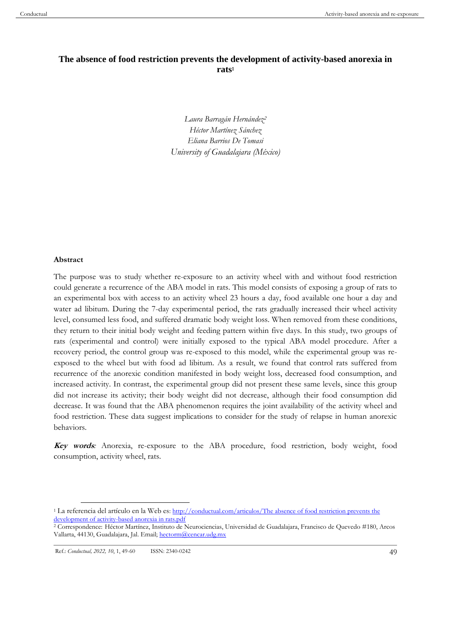# **The absence of food restriction prevents the development of activity-based anorexia in rats<sup>1</sup>**

*Laura Barragán Hernández<sup>2</sup> Héctor Martínez Sánchez Eliana Barrios De Tomasi University of Guadalajara (México)*

#### **Abstract**

The purpose was to study whether re-exposure to an activity wheel with and without food restriction could generate a recurrence of the ABA model in rats. This model consists of exposing a group of rats to an experimental box with access to an activity wheel 23 hours a day, food available one hour a day and water ad libitum. During the 7-day experimental period, the rats gradually increased their wheel activity level, consumed less food, and suffered dramatic body weight loss. When removed from these conditions, they return to their initial body weight and feeding pattern within five days. In this study, two groups of rats (experimental and control) were initially exposed to the typical ABA model procedure. After a recovery period, the control group was re-exposed to this model, while the experimental group was reexposed to the wheel but with food ad libitum. As a result, we found that control rats suffered from recurrence of the anorexic condition manifested in body weight loss, decreased food consumption, and increased activity. In contrast, the experimental group did not present these same levels, since this group did not increase its activity; their body weight did not decrease, although their food consumption did decrease. It was found that the ABA phenomenon requires the joint availability of the activity wheel and food restriction. These data suggest implications to consider for the study of relapse in human anorexic behaviors.

**Key words***:* Anorexia, re-exposure to the ABA procedure, food restriction, body weight, food consumption, activity wheel, rats.

<sup>1</sup> La referencia del artículo en la Web es[: http://conductual.com/articulos/The absence of food restriction prevents the](http://conductual.com/articulos/The%20absence%20of%20food%20restriction%20prevents%20the%20development%20of%20activity-based%20anorexia%20in%20rats.pdf)  [development of activity-based anorexia in rats.pdf](http://conductual.com/articulos/The%20absence%20of%20food%20restriction%20prevents%20the%20development%20of%20activity-based%20anorexia%20in%20rats.pdf)

<sup>2</sup> Correspondence: Héctor Martínez, Instituto de Neurociencias, Universidad de Guadalajara, Francisco de Quevedo #180, Arcos Vallarta, 44130, Guadalajara, Jal. Email; [hectorm@cencar.udg.mx](mailto:hectorm@cencar.udg.mx)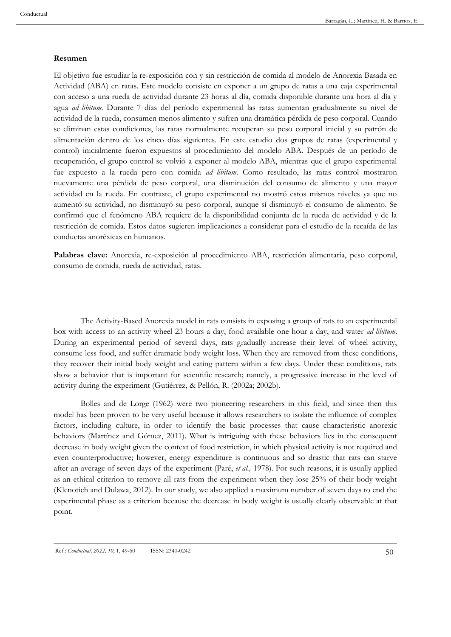#### **Resumen**

El objetivo fue estudiar la re-exposición con y sin restricción de comida al modelo de Anorexia Basada en Actividad (ABA) en ratas. Este modelo consiste en exponer a un grupo de ratas a una caja experimental con acceso a una rueda de actividad durante 23 horas al día, comida disponible durante una hora al día y agua *ad libitum*. Durante 7 días del período experimental las ratas aumentan gradualmente su nivel de actividad de la rueda, consumen menos alimento y sufren una dramática pérdida de peso corporal. Cuando se eliminan estas condiciones, las ratas normalmente recuperan su peso corporal inicial y su patrón de alimentación dentro de los cinco días siguientes. En este estudio dos grupos de ratas (experimental y control) inicialmente fueron expuestos al procedimiento del modelo ABA. Después de un período de recuperación, el grupo control se volvió a exponer al modelo ABA, mientras que el grupo experimental fue expuesto a la rueda pero con comida *ad libitum*. Como resultado, las ratas control mostraron nuevamente una pérdida de peso corporal, una disminución del consumo de alimento y una mayor actividad en la rueda. En contraste, el grupo experimental no mostró estos mismos niveles ya que no aumentó su actividad, no disminuyó su peso corporal, aunque sí disminuyó el consumo de alimento. Se confirmó que el fenómeno ABA requiere de la disponibilidad conjunta de la rueda de actividad y de la restricción de comida. Estos datos sugieren implicaciones a considerar para el estudio de la recaída de las conductas anoréxicas en humanos.

**Palabras clave:** Anorexia, re-exposición al procedimiento ABA, restricción alimentaria, peso corporal, consumo de comida, rueda de actividad, ratas.

The Activity-Based Anorexia model in rats consists in exposing a group of rats to an experimental box with access to an activity wheel 23 hours a day, food available one hour a day, and water *ad libitum*. During an experimental period of several days, rats gradually increase their level of wheel activity, consume less food, and suffer dramatic body weight loss. When they are removed from these conditions, they recover their initial body weight and eating pattern within a few days. Under these conditions, rats show a behavior that is important for scientific research; namely, a progressive increase in the level of activity during the experiment (Gutiérrez, & Pellón, R. (2002a; 2002b).

Bolles and de Lorge (1962) were two pioneering researchers in this field, and since then this model has been proven to be very useful because it allows researchers to isolate the influence of complex factors, including culture, in order to identify the basic processes that cause characteristic anorexic behaviors (Martínez and Gómez, 2011). What is intriguing with these behaviors lies in the consequent decrease in body weight given the context of food restriction, in which physical activity is not required and even counterproductive; however, energy expenditure is continuous and so drastic that rats can starve after an average of seven days of the experiment (Paré, *et al.,* 1978). For such reasons, it is usually applied as an ethical criterion to remove all rats from the experiment when they lose 25% of their body weight (Klenotich and Dulawa, 2012). In our study, we also applied a maximum number of seven days to end the experimental phase as a criterion because the decrease in body weight is usually clearly observable at that point.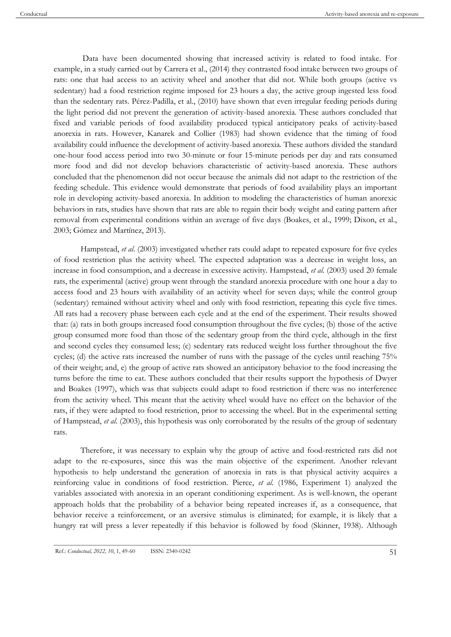Data have been documented showing that increased activity is related to food intake. For example, in a study carried out by Carrera et al., (2014) they contrasted food intake between two groups of rats: one that had access to an activity wheel and another that did not. While both groups (active vs sedentary) had a food restriction regime imposed for 23 hours a day, the active group ingested less food than the sedentary rats. Pérez-Padilla, et al., (2010) have shown that even irregular feeding periods during the light period did not prevent the generation of activity-based anorexia. These authors concluded that fixed and variable periods of food availability produced typical anticipatory peaks of activity-based anorexia in rats. However, Kanarek and Collier (1983) had shown evidence that the timing of food availability could influence the development of activity-based anorexia. These authors divided the standard one-hour food access period into two 30-minute or four 15-minute periods per day and rats consumed more food and did not develop behaviors characteristic of activity-based anorexia. These authors concluded that the phenomenon did not occur because the animals did not adapt to the restriction of the feeding schedule. This evidence would demonstrate that periods of food availability plays an important role in developing activity-based anorexia. In addition to modeling the characteristics of human anorexic behaviors in rats, studies have shown that rats are able to regain their body weight and eating pattern after removal from experimental conditions within an average of five days (Boakes, et al., 1999; Dixon, et al., 2003; Gómez and Martínez, 2013).

Hampstead, *et al*. (2003) investigated whether rats could adapt to repeated exposure for five cycles of food restriction plus the activity wheel. The expected adaptation was a decrease in weight loss, an increase in food consumption, and a decrease in excessive activity. Hampstead, *et al*. (2003) used 20 female rats, the experimental (active) group went through the standard anorexia procedure with one hour a day to access food and 23 hours with availability of an activity wheel for seven days; while the control group (sedentary) remained without activity wheel and only with food restriction, repeating this cycle five times. All rats had a recovery phase between each cycle and at the end of the experiment. Their results showed that: (a) rats in both groups increased food consumption throughout the five cycles; (b) those of the active group consumed more food than those of the sedentary group from the third cycle, although in the first and second cycles they consumed less; (c) sedentary rats reduced weight loss further throughout the five cycles; (d) the active rats increased the number of runs with the passage of the cycles until reaching 75% of their weight; and, e) the group of active rats showed an anticipatory behavior to the food increasing the turns before the time to eat. These authors concluded that their results support the hypothesis of Dwyer and Boakes (1997), which was that subjects could adapt to food restriction if there was no interference from the activity wheel. This meant that the activity wheel would have no effect on the behavior of the rats, if they were adapted to food restriction, prior to accessing the wheel. But in the experimental setting of Hampstead, *et al*. (2003), this hypothesis was only corroborated by the results of the group of sedentary rats.

Therefore, it was necessary to explain why the group of active and food-restricted rats did not adapt to the re-exposures, since this was the main objective of the experiment. Another relevant hypothesis to help understand the generation of anorexia in rats is that physical activity acquires a reinforcing value in conditions of food restriction. Pierce, *et al*. (1986, Experiment 1) analyzed the variables associated with anorexia in an operant conditioning experiment. As is well-known, the operant approach holds that the probability of a behavior being repeated increases if, as a consequence, that behavior receive a reinforcement, or an aversive stimulus is eliminated; for example, it is likely that a hungry rat will press a lever repeatedly if this behavior is followed by food (Skinner, 1938). Although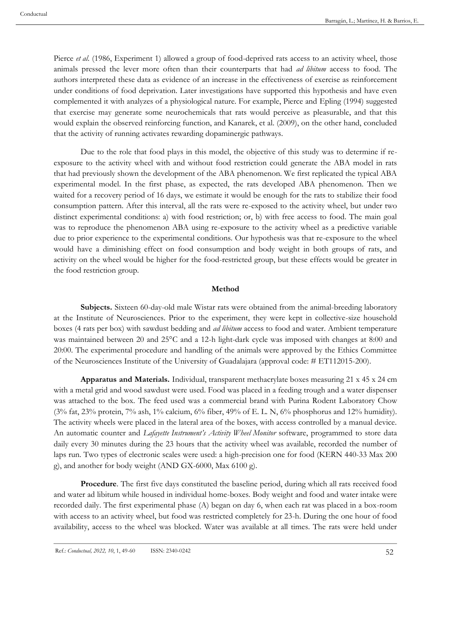Pierce *et al.* (1986, Experiment 1) allowed a group of food-deprived rats access to an activity wheel, those animals pressed the lever more often than their counterparts that had *ad libitum* access to food. The authors interpreted these data as evidence of an increase in the effectiveness of exercise as reinforcement under conditions of food deprivation. Later investigations have supported this hypothesis and have even complemented it with analyzes of a physiological nature. For example, Pierce and Epling (1994) suggested that exercise may generate some neurochemicals that rats would perceive as pleasurable, and that this would explain the observed reinforcing function, and Kanarek, et al. (2009), on the other hand, concluded that the activity of running activates rewarding dopaminergic pathways.

Due to the role that food plays in this model, the objective of this study was to determine if reexposure to the activity wheel with and without food restriction could generate the ABA model in rats that had previously shown the development of the ABA phenomenon. We first replicated the typical ABA experimental model. In the first phase, as expected, the rats developed ABA phenomenon. Then we waited for a recovery period of 16 days, we estimate it would be enough for the rats to stabilize their food consumption pattern. After this interval, all the rats were re-exposed to the activity wheel, but under two distinct experimental conditions: a) with food restriction; or, b) with free access to food. The main goal was to reproduce the phenomenon ABA using re-exposure to the activity wheel as a predictive variable due to prior experience to the experimental conditions. Our hypothesis was that re-exposure to the wheel would have a diminishing effect on food consumption and body weight in both groups of rats, and activity on the wheel would be higher for the food-restricted group, but these effects would be greater in the food restriction group.

#### **Method**

**Subjects.** Sixteen 60-day-old male Wistar rats were obtained from the animal-breeding laboratory at the Institute of Neurosciences. Prior to the experiment, they were kept in collective-size household boxes (4 rats per box) with sawdust bedding and *ad libitum* access to food and water. Ambient temperature was maintained between 20 and 25°C and a 12-h light-dark cycle was imposed with changes at 8:00 and 20:00. The experimental procedure and handling of the animals were approved by the Ethics Committee of the Neurosciences Institute of the University of Guadalajara (approval code: # ET112015-200).

**Apparatus and Materials.** Individual, transparent methacrylate boxes measuring 21 x 45 x 24 cm with a metal grid and wood sawdust were used. Food was placed in a feeding trough and a water dispenser was attached to the box. The feed used was a commercial brand with Purina Rodent Laboratory Chow  $(3\%$  fat,  $23\%$  protein,  $7\%$  ash,  $1\%$  calcium,  $6\%$  fiber,  $49\%$  of E. L. N,  $6\%$  phosphorus and  $12\%$  humidity). The activity wheels were placed in the lateral area of the boxes, with access controlled by a manual device. An automatic counter and *Lafayette Instrument's Activity Wheel Monitor* software, programmed to store data daily every 30 minutes during the 23 hours that the activity wheel was available, recorded the number of laps run. Two types of electronic scales were used: a high-precision one for food (KERN 440-33 Max 200 g), and another for body weight (AND GX-6000, Max 6100 g).

**Procedure**. The first five days constituted the baseline period, during which all rats received food and water ad libitum while housed in individual home-boxes. Body weight and food and water intake were recorded daily. The first experimental phase (A) began on day 6, when each rat was placed in a box-room with access to an activity wheel, but food was restricted completely for 23-h. During the one hour of food availability, access to the wheel was blocked. Water was available at all times. The rats were held under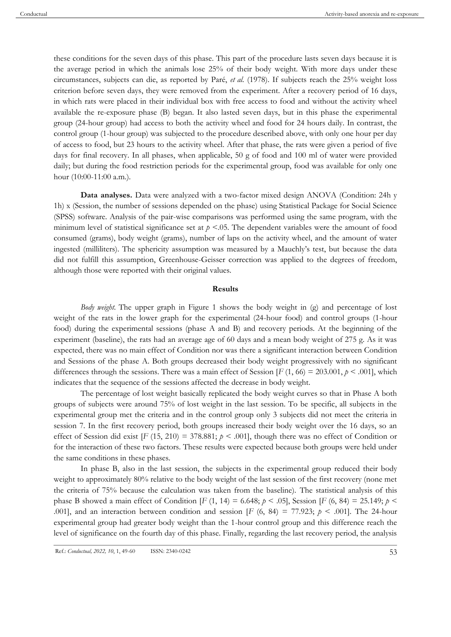these conditions for the seven days of this phase. This part of the procedure lasts seven days because it is the average period in which the animals lose 25% of their body weight. With more days under these circumstances, subjects can die, as reported by Paré, *et al.* (1978). If subjects reach the 25% weight loss criterion before seven days, they were removed from the experiment. After a recovery period of 16 days, in which rats were placed in their individual box with free access to food and without the activity wheel available the re-exposure phase (B) began. It also lasted seven days, but in this phase the experimental group (24-hour group) had access to both the activity wheel and food for 24 hours daily. In contrast, the control group (1-hour group) was subjected to the procedure described above, with only one hour per day of access to food, but 23 hours to the activity wheel. After that phase, the rats were given a period of five days for final recovery. In all phases, when applicable, 50 g of food and 100 ml of water were provided daily; but during the food restriction periods for the experimental group, food was available for only one hour (10:00-11:00 a.m.).

**Data analyses.** Data were analyzed with a two-factor mixed design ANOVA (Condition: 24h y 1h) x (Session, the number of sessions depended on the phase) using Statistical Package for Social Science (SPSS) software. Analysis of the pair-wise comparisons was performed using the same program, with the minimum level of statistical significance set at  $p < 0.05$ . The dependent variables were the amount of food consumed (grams), body weight (grams), number of laps on the activity wheel, and the amount of water ingested (milliliters). The sphericity assumption was measured by a Mauchly's test, but because the data did not fulfill this assumption, Greenhouse-Geisser correction was applied to the degrees of freedom, although those were reported with their original values.

#### **Results**

*Body weight.* The upper graph in Figure 1 shows the body weight in (g) and percentage of lost weight of the rats in the lower graph for the experimental (24-hour food) and control groups (1-hour food) during the experimental sessions (phase A and B) and recovery periods. At the beginning of the experiment (baseline), the rats had an average age of 60 days and a mean body weight of 275 g. As it was expected, there was no main effect of Condition nor was there a significant interaction between Condition and Sessions of the phase A. Both groups decreased their body weight progressively with no significant differences through the sessions. There was a main effect of Session  $[F(1, 66) = 203.001, p \le 0.001]$ , which indicates that the sequence of the sessions affected the decrease in body weight.

The percentage of lost weight basically replicated the body weight curves so that in Phase A both groups of subjects were around 75% of lost weight in the last session. To be specific, all subjects in the experimental group met the criteria and in the control group only 3 subjects did not meet the criteria in session 7. In the first recovery period, both groups increased their body weight over the 16 days, so an effect of Session did exist  $[F(15, 210) = 378.881; p < .001]$ , though there was no effect of Condition or for the interaction of these two factors. These results were expected because both groups were held under the same conditions in these phases.

In phase B, also in the last session, the subjects in the experimental group reduced their body weight to approximately 80% relative to the body weight of the last session of the first recovery (none met the criteria of 75% because the calculation was taken from the baseline). The statistical analysis of this phase B showed a main effect of Condition  $[F (1, 14) = 6.648; p < .05]$ , Session  $[F (6, 84) = 25.149; p < .05]$ .001], and an interaction between condition and session [*F* (6, 84) = 77.923;  $p \lt 0.001$ ]. The 24-hour experimental group had greater body weight than the 1-hour control group and this difference reach the level of significance on the fourth day of this phase. Finally, regarding the last recovery period, the analysis

53 Ref.: *Conductual, 2022, 10*, 1, 49-60 ISSN: 2340-0242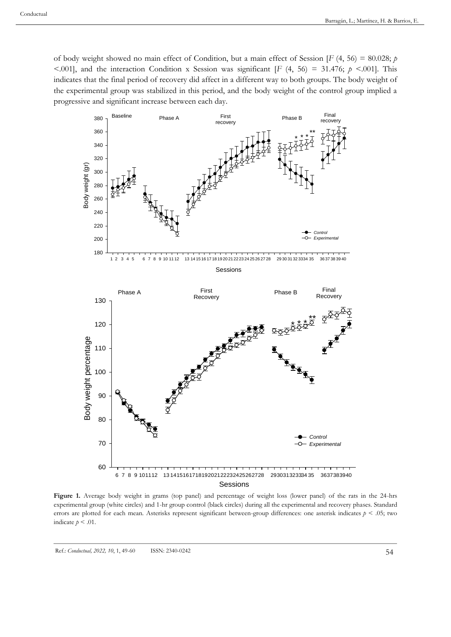of body weight showed no main effect of Condition, but a main effect of Session [*F* (4, 56) = 80.028; *p* <.001], and the interaction Condition x Session was significant  $[F(4, 56) = 31.476; p \le 0.001]$ . This indicates that the final period of recovery did affect in a different way to both groups. The body weight of the experimental group was stabilized in this period, and the body weight of the control group implied a progressive and significant increase between each day.



**Figure 1.** Average body weight in grams (top panel) and percentage of weight loss (lower panel) of the rats in the 24-hrs experimental group (white circles) and 1-hr group control (black circles) during all the experimental and recovery phases. Standard errors are plotted for each mean. Asterisks represent significant between-group differences: one asterisk indicates *p* < .05; two indicate  $p < .01$ .

Ref.: *Conductual, 2022, 10, 1, 49-60* ISSN: 2340-0242 54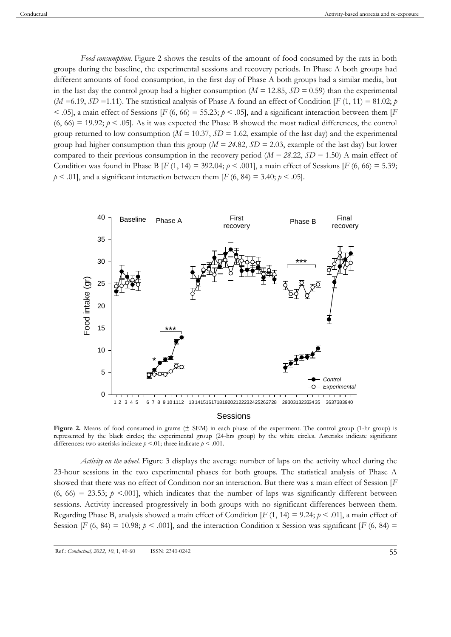*Food consumption.* Figure 2 shows the results of the amount of food consumed by the rats in both groups during the baseline, the experimental sessions and recovery periods. In Phase A both groups had different amounts of food consumption, in the first day of Phase A both groups had a similar media, but in the last day the control group had a higher consumption ( $M = 12.85$ ,  $SD = 0.59$ ) than the experimental (*M* = 6.19, *SD* = 1.11). The statistical analysis of Phase A found an effect of Condition [*F* (1, 11) = 81.02; *p*  $\leq$  .05], a main effect of Sessions [*F* (6, 66) = 55.23;  $p \leq$  .05], and a significant interaction between them [*F*  $(6, 66) = 19.92$ ;  $p < .05$ ]. As it was expected the Phase B showed the most radical differences, the control group returned to low consumption ( $M = 10.37$ ,  $SD = 1.62$ , example of the last day) and the experimental group had higher consumption than this group (*M = 24*.82, *SD =* 2.03, example of the last day) but lower compared to their previous consumption in the recovery period (*M = 28*.22, *SD =* 1.50) A main effect of Condition was found in Phase B  $[F(1, 14) = 392.04; p \le .001]$ , a main effect of Sessions  $[F(6, 66) = 5.39;$  $p < .01$ , and a significant interaction between them [*F* (6, 84) = 3.40;  $p < .05$ ].



Figure 2. Means of food consumed in grams ( $\pm$  SEM) in each phase of the experiment. The control group (1-hr group) is represented by the black circles; the experimental group (24-hrs group) by the white circles. Asterisks indicate significant differences: two asterisks indicate  $p \le 0.01$ ; three indicate  $p \le 0.001$ .

*Activity on the wheel.* Figure 3 displays the average number of laps on the activity wheel during the 23-hour sessions in the two experimental phases for both groups. The statistical analysis of Phase A showed that there was no effect of Condition nor an interaction. But there was a main effect of Session [*F*  $(6, 66) = 23.53$ ;  $p \le 0.001$ , which indicates that the number of laps was significantly different between sessions. Activity increased progressively in both groups with no significant differences between them. Regarding Phase B, analysis showed a main effect of Condition  $[F(1, 14) = 9.24; p \le 0.01]$ , a main effect of Session [*F* (6, 84) = 10.98;  $p < .001$ ], and the interaction Condition x Session was significant [*F* (6, 84) =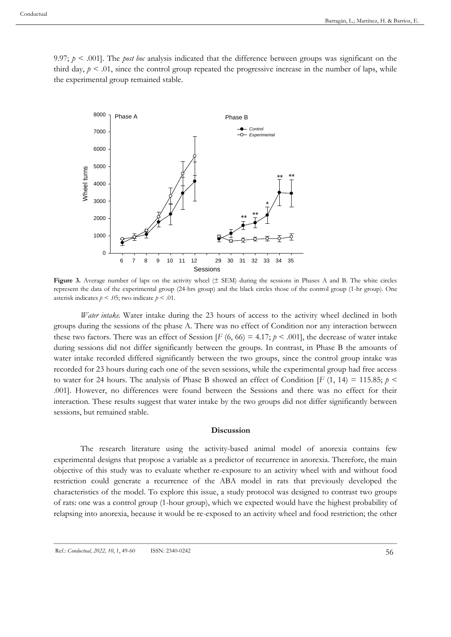9.97;  $p \le 0.001$ . The *post hoc* analysis indicated that the difference between groups was significant on the third day,  $p < .01$ , since the control group repeated the progressive increase in the number of laps, while the experimental group remained stable.



Figure 3. Average number of laps on the activity wheel ( $\pm$  SEM) during the sessions in Phases A and B. The white circles represent the data of the experimental group (24-hrs group) and the black circles those of the control group (1-hr group). One asterisk indicates  $p < .05$ ; two indicate  $p < .01$ .

*Water intake.* Water intake during the 23 hours of access to the activity wheel declined in both groups during the sessions of the phase A. There was no effect of Condition nor any interaction between these two factors. There was an effect of Session  $[F(6, 66) = 4.17; p \le .001]$ , the decrease of water intake during sessions did not differ significantly between the groups. In contrast, in Phase B the amounts of water intake recorded differed significantly between the two groups, since the control group intake was recorded for 23 hours during each one of the seven sessions, while the experimental group had free access to water for 24 hours. The analysis of Phase B showed an effect of Condition  $[F(1, 14) = 115.85; p <$ .001]. However, no differences were found between the Sessions and there was no effect for their interaction. These results suggest that water intake by the two groups did not differ significantly between sessions, but remained stable.

### **Discussion**

The research literature using the activity-based animal model of anorexia contains few experimental designs that propose a variable as a predictor of recurrence in anorexia. Therefore, the main objective of this study was to evaluate whether re-exposure to an activity wheel with and without food restriction could generate a recurrence of the ABA model in rats that previously developed the characteristics of the model. To explore this issue, a study protocol was designed to contrast two groups of rats: one was a control group (1-hour group), which we expected would have the highest probability of relapsing into anorexia, because it would be re-exposed to an activity wheel and food restriction; the other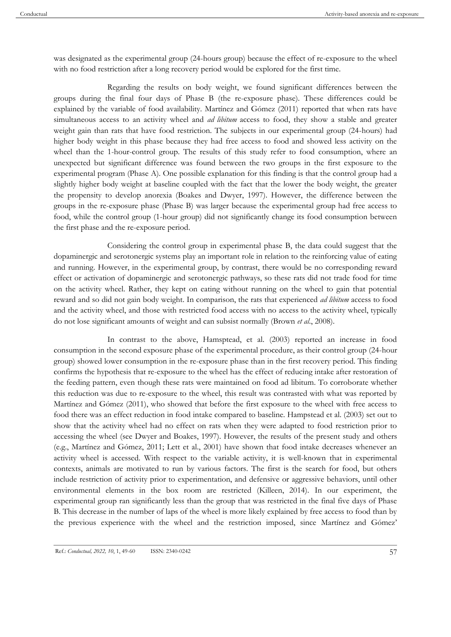was designated as the experimental group (24-hours group) because the effect of re-exposure to the wheel with no food restriction after a long recovery period would be explored for the first time.

Regarding the results on body weight, we found significant differences between the groups during the final four days of Phase B (the re-exposure phase). These differences could be explained by the variable of food availability. Martínez and Gómez (2011) reported that when rats have simultaneous access to an activity wheel and *ad libitum* access to food, they show a stable and greater weight gain than rats that have food restriction. The subjects in our experimental group (24-hours) had higher body weight in this phase because they had free access to food and showed less activity on the wheel than the 1-hour-control group. The results of this study refer to food consumption, where an unexpected but significant difference was found between the two groups in the first exposure to the experimental program (Phase A). One possible explanation for this finding is that the control group had a slightly higher body weight at baseline coupled with the fact that the lower the body weight, the greater the propensity to develop anorexia (Boakes and Dwyer, 1997). However, the difference between the groups in the re-exposure phase (Phase B) was larger because the experimental group had free access to food, while the control group (1-hour group) did not significantly change its food consumption between the first phase and the re-exposure period.

Considering the control group in experimental phase B, the data could suggest that the dopaminergic and serotonergic systems play an important role in relation to the reinforcing value of eating and running. However, in the experimental group, by contrast, there would be no corresponding reward effect or activation of dopaminergic and serotonergic pathways, so these rats did not trade food for time on the activity wheel. Rather, they kept on eating without running on the wheel to gain that potential reward and so did not gain body weight. In comparison, the rats that experienced *ad libitum* access to food and the activity wheel, and those with restricted food access with no access to the activity wheel, typically do not lose significant amounts of weight and can subsist normally (Brown *et al*., 2008).

 In contrast to the above, Hamsptead, et al. (2003) reported an increase in food consumption in the second exposure phase of the experimental procedure, as their control group (24-hour group) showed lower consumption in the re-exposure phase than in the first recovery period. This finding confirms the hypothesis that re-exposure to the wheel has the effect of reducing intake after restoration of the feeding pattern, even though these rats were maintained on food ad libitum. To corroborate whether this reduction was due to re-exposure to the wheel, this result was contrasted with what was reported by Martínez and Gómez (2011), who showed that before the first exposure to the wheel with free access to food there was an effect reduction in food intake compared to baseline. Hampstead et al. (2003) set out to show that the activity wheel had no effect on rats when they were adapted to food restriction prior to accessing the wheel (see Dwyer and Boakes, 1997). However, the results of the present study and others (e.g., Martínez and Gómez, 2011; Lett et al., 2001) have shown that food intake decreases whenever an activity wheel is accessed. With respect to the variable activity, it is well-known that in experimental contexts, animals are motivated to run by various factors. The first is the search for food, but others include restriction of activity prior to experimentation, and defensive or aggressive behaviors, until other environmental elements in the box room are restricted (Killeen, 2014). In our experiment, the experimental group ran significantly less than the group that was restricted in the final five days of Phase B. This decrease in the number of laps of the wheel is more likely explained by free access to food than by the previous experience with the wheel and the restriction imposed, since Martínez and Gómez'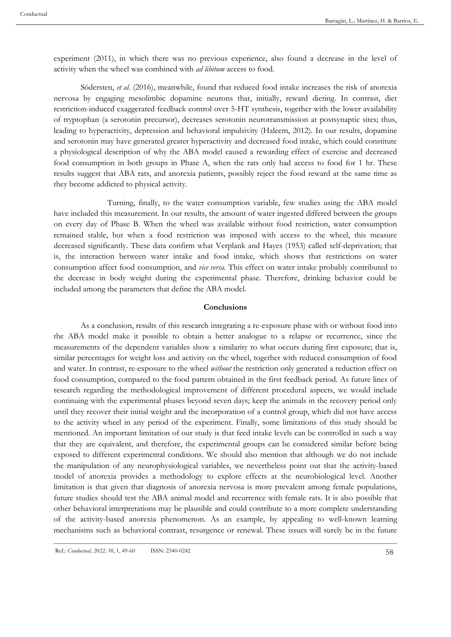experiment (2011), in which there was no previous experience, also found a decrease in the level of activity when the wheel was combined with *ad libitum* access to food.

Södersten, *et al*. (2016), meanwhile, found that reduced food intake increases the risk of anorexia nervosa by engaging mesolimbic dopamine neurons that, initially, reward dieting. In contrast, diet restriction-induced exaggerated feedback control over 5-HT synthesis, together with the lower availability of tryptophan (a serotonin precursor), decreases serotonin neurotransmission at postsynaptic sites; thus, leading to hyperactivity, depression and behavioral impulsivity (Haleem, 2012). In our results, dopamine and serotonin may have generated greater hyperactivity and decreased food intake, which could constitute a physiological description of why the ABA model caused a rewarding effect of exercise and decreased food consumption in both groups in Phase A, when the rats only had access to food for 1 hr. These results suggest that ABA rats, and anorexia patients, possibly reject the food reward at the same time as they become addicted to physical activity.

 Turning, finally, to the water consumption variable, few studies using the ABA model have included this measurement. In our results, the amount of water ingested differed between the groups on every day of Phase B. When the wheel was available without food restriction, water consumption remained stable, but when a food restriction was imposed with access to the wheel, this measure decreased significantly. These data confirm what Verplank and Hayes (1953) called self-deprivation; that is, the interaction between water intake and food intake, which shows that restrictions on water consumption affect food consumption, and *vice versa*. This effect on water intake probably contributed to the decrease in body weight during the experimental phase. Therefore, drinking behavior could be included among the parameters that define the ABA model.

#### **Conclusions**

As a conclusion, results of this research integrating a re-exposure phase with or without food into the ABA model make it possible to obtain a better analogue to a relapse or recurrence, since the measurements of the dependent variables show a similarity to what occurs during first exposure; that is, similar percentages for weight loss and activity on the wheel, together with reduced consumption of food and water. In contrast, re-exposure to the wheel *without* the restriction only generated a reduction effect on food consumption, compared to the food pattern obtained in the first feedback period. As future lines of research regarding the methodological improvement of different procedural aspects, we would include continuing with the experimental phases beyond seven days; keep the animals in the recovery period only until they recover their initial weight and the incorporation of a control group, which did not have access to the activity wheel in any period of the experiment. Finally, some limitations of this study should be mentioned. An important limitation of our study is that feed intake levels can be controlled in such a way that they are equivalent, and therefore, the experimental groups can be considered similar before being exposed to different experimental conditions. We should also mention that although we do not include the manipulation of any neurophysiological variables, we nevertheless point out that the activity-based model of anorexia provides a methodology to explore effects at the neurobiological level. Another limitation is that given that diagnosis of anorexia nervosa is more prevalent among female populations, future studies should test the ABA animal model and recurrence with female rats. It is also possible that other behavioral interpretations may be plausible and could contribute to a more complete understanding of the activity-based anorexia phenomenon. As an example, by appealing to well-known learning mechanisms such as behavioral contrast, resurgence or renewal. These issues will surely be in the future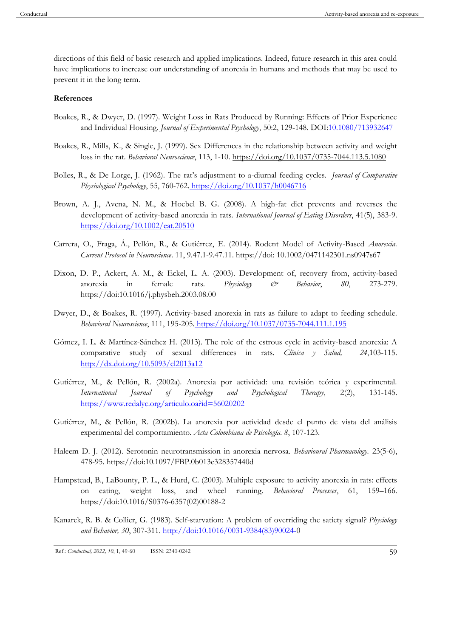directions of this field of basic research and applied implications. Indeed, future research in this area could have implications to increase our understanding of anorexia in humans and methods that may be used to prevent it in the long term.

## **References**

- Boakes, R., & Dwyer, D. (1997). Weight Loss in Rats Produced by Running: Effects of Prior Experience and Individual Housing. *Journal of Experimental Psychology*, 50:2, 129-148. DO[I:10.1080/713932647](https://doi.org/10.1080/713932647)
- Boakes, R., Mills, K., & Single, J. (1999). Sex Differences in the relationship between activity and weight loss in the rat. *Behavioral Neuroscience*, 113, 1-10. https://doi.org/10.1037/0735-7044.113.5.1080
- Bolles, R., & De Lorge, J. (1962). The rat's adjustment to a-diurnal feeding cycles. *Journal of Comparative Physiological Psychology*, 55, 760-762[.](https://psycnet.apa.org/doi/10.1037/h0046716) [https://doi.org/10.1037/h0046716](https://psycnet.apa.org/doi/10.1037/h0046716)
- Brown, A. J., Avena, N. M., & Hoebel B. G. (2008). A high-fat diet prevents and reverses the development of activity-based anorexia in rats. *International Journal of Eating Disorders*, 41(5), 383-9[.](https://doi.org/10.1002/eat.20510) <https://doi.org/10.1002/eat.20510>
- Carrera, O., Fraga, Á., Pellón, R., & Gutiérrez, E. (2014). Rodent Model of Activity-Based *Anorexia. Current Protocol in Neuroscience*. 11, 9.47.1-9.47.11. https://doi: 10.1002/0471142301.ns0947s67
- Dixon, D. P., Ackert, A. M., & Eckel, L. A. (2003). Development of, recovery from, activity-based anorexia in female rats. *Physiology & Behavior*, *80*, 273-279. https://doi:10.1016/j.physbeh.2003.08.00
- Dwyer, D., & Boakes, R. (1997). Activity-based anorexia in rats as failure to adapt to feeding schedule. *Behavioral Neuroscience*, 111, 195-205. [https://doi.org/10.1037/0735-7044.111.1.195](https://psycnet.apa.org/doi/10.1037/0735-7044.111.1.195)
- Gómez, I. L. & Martínez-Sánchez H. (2013). The role of the estrous cycle in activity-based anorexia: A comparative study of sexual differences in rats. *Clínica y Salud, 24*,103-115. <http://dx.doi.org/10.5093/cl2013a12>
- Gutiérrez, M., & Pellón, R. (2002a). Anorexia por actividad: una revisión teórica y experimental. *International Journal of Psychology and Psychological Therapy*, 2(2), 131-14[5.](https://www.redalyc.org/articulo.oa?id=56020202) <https://www.redalyc.org/articulo.oa?id=56020202>
- Gutiérrez, M., & Pellón, R. (2002b). La anorexia por actividad desde el punto de vista del análisis experimental del comportamiento. *Acta Colombiana de Psicología*. *8*, 107-123.
- Haleem D. J. (2012). Serotonin neurotransmission in anorexia nervosa. *Behavioural Pharmacology.* 23(5-6), 478-95. https://doi:10.1097/FBP.0b013e328357440d
- Hampstead, B., LaBounty, P. L., & Hurd, C. (2003). Multiple exposure to activity anorexia in rats: effects on eating, weight loss, and wheel running. *Behavioral Processes*, 61, 159–166. https://doi:10.1016/S0376-6357(02)00188-2
- Kanarek, R. B. & Collier, G. (1983). Self-starvation: A problem of overriding the satiety signal? *Physiology and Behavior, 30*, 307-311[.](about:blank) [http://doi:10.1016/0031-9384\(83\)90024-0](about:blank)